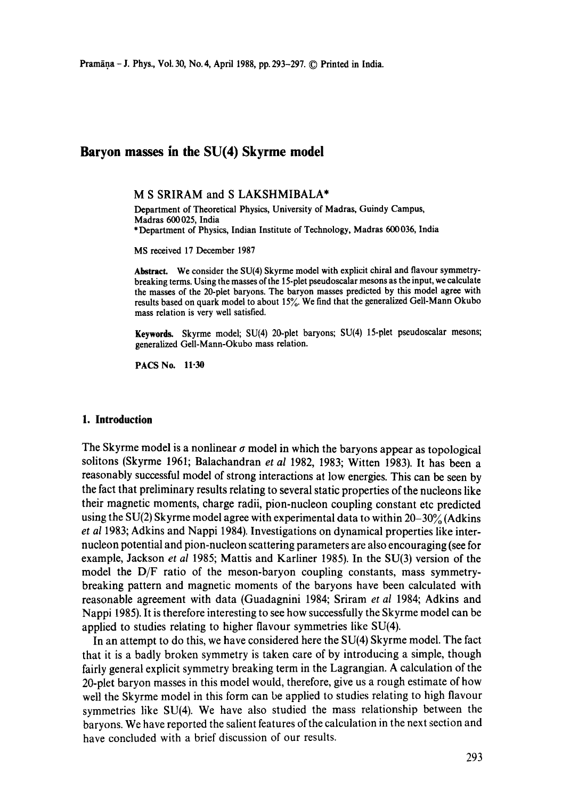# **Baryon masses in the SU(4) Skyrme model**

M S SRIRAM and S LAKSHMIBALA\*

Department of Theoretical Physics, University of Madras, Guindy Campus, Madras 600025, India \* Department of Physics, Indian Institute of Technology, Madras 600036, India

MS received 17 December 1987

**Abstract.** We consider the SU(4) Skyrme model with explicit chiral and flavour symmetrybreaking terms. Using the masses of the 15-plet pseudoscalar mesons as the input, we calculate the masses of the 20-plet baryons. The baryon masses predicted by this model agree with results based on quark model to about  $15\%$ . We find that the generalized Gell-Mann Okubo mass relation is very well satisfied.

Keywords. Skyrme model; SU(4) 20-plet baryons; SU(4) 15-plet pseudoscalar mesons; generalized Gell-Mann-Okubo mass relation.

PACS No. 11.30

# **1. Introduction**

The Skyrme model is a nonlinear  $\sigma$  model in which the baryons appear as topological solitons (Skyrme 1961; Balachandran *et al* 1982, 1983; Witten 1983). It has been a reasonably successful model of strong interactions at low energies. This can be seen by the fact that preliminary results relating to several static properties of the nucleons like their magnetic moments, charge radii, pion-nucleon coupling constant etc predicted using the SU(2) Skyrme model agree with experimental data to within  $20-30\%$  (Adkins *et al* 1983; Adkins and Nappi 1984). Investigations on dynamical properties like internucleon potential and pion-nucleon scattering parameters are also encouraging (see for example, Jackson *et al* 1985; Mattis and Karliner 1985). In the SU(3) version of the model the D/F ratio of the meson-baryon coupling constants, mass symmetrybreaking pattern and magnetic moments of the baryons have been calculated with reasonable agreement with data (Guadagnini 1984; Sriram *et al* 1984; Adkins and Nappi 1985). It is therefore interesting to see how successfully the Skyrme model can be applied to studies relating to higher flavour symmetries like SU(4).

In an attempt to do this, we have considered here the SU(4) Skyrme model. The fact that it is a badly broken symmetry is taken care of by introducing a simple, though fairly general explicit symmetry breaking term in the Lagrangian. A calculation of the 20-plet baryon masses in this model would, therefore, give us a rough estimate of how well the Skyrme model in this form can be applied to studies relating to high flavour symmetries like SU(4). We have also studied the mass relationship between the baryons. We have reported the salient features of the calculation in the next section and have concluded with a brief discussion of our results.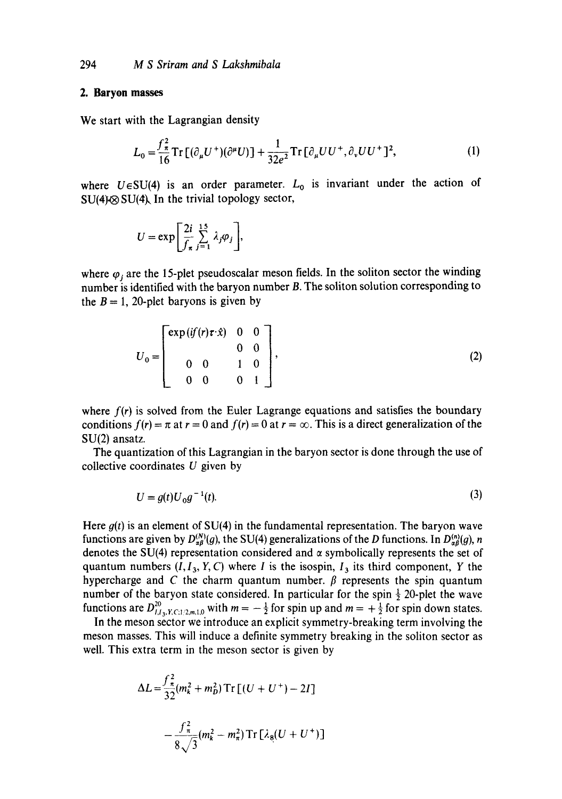#### **2. Baryon masses**

We start with the Lagrangian density

$$
L_0 = \frac{f_{\pi}^2}{16} \text{Tr} \left[ (\partial_{\mu} U^+) (\partial^{\mu} U) \right] + \frac{1}{32e^2} \text{Tr} \left[ \partial_{\mu} U U^+, \partial_{\nu} U U^+ \right]^2, \tag{1}
$$

where  $U \in SU(4)$  is an order parameter.  $L_0$  is invariant under the action of  $SU(4)\otimes SU(4)$ , In the trivial topology sector,

$$
U = \exp \left[\frac{2i}{f_{\pi}} \sum_{j=1}^{15} \lambda_j \varphi_j \right],
$$

where  $\varphi_i$  are the 15-plet pseudoscalar meson fields. In the soliton sector the winding number is identified with the baryon number B. The soliton solution corresponding to the  $B = 1$ , 20-plet baryons is given by

$$
U_0 = \begin{bmatrix} \exp\left(\frac{i f}{r} \cdot \hat{x}\right) & 0 & 0 \\ 0 & 0 & 0 \\ 0 & 0 & 1 & 0 \\ 0 & 0 & 0 & 1 \end{bmatrix}, \tag{2}
$$

where  $f(r)$  is solved from the Euler Lagrange equations and satisfies the boundary conditions  $f(r) = \pi$  at  $r = 0$  and  $f(r) = 0$  at  $r = \infty$ . This is a direct generalization of the SU(2) ansatz.

The quantization of this Lagrangian in the baryon sector is done through the use of collective coordinates  $U$  given by

$$
U = g(t)U_0g^{-1}(t).
$$
 (3)

Here  $g(t)$  is an element of SU(4) in the fundamental representation. The baryon wave functions are given by  $D_{\alpha\beta}^{(N)}(g)$ , the SU(4) generalizations of the D functions. In  $D_{\alpha\beta}^{(n)}(g)$ , n denotes the SU(4) representation considered and  $\alpha$  symbolically represents the set of quantum numbers  $(I, I_3, Y, C)$  where I is the isospin,  $I_3$  its third component, Y the hypercharge and C the charm quantum number.  $\beta$  represents the spin quantum number of the baryon state considered. In particular for the spin  $\frac{1}{2}$  20-plet the wave functions are  $D_{i,i_1,\ldots,i_n}^{20}$  with  $m = -\frac{1}{2}$  for spin up and  $m = +\frac{1}{2}$  for spin down states.

In the meson sector we introduce an explicit symmetry-breaking term involving the meson masses. This will induce a definite symmetry breaking in the soliton sector as well. This extra term in the meson sector is given by

$$
\Delta L = \frac{f_{\pi}^2}{32} (m_k^2 + m_D^2) \operatorname{Tr} \left[ (U + U^+) - 2I \right]
$$

$$
- \frac{f_{\pi}^2}{8} (m_k^2 - m_{\pi}^2) \operatorname{Tr} \left[ \lambda_8 (U + U^+) \right]
$$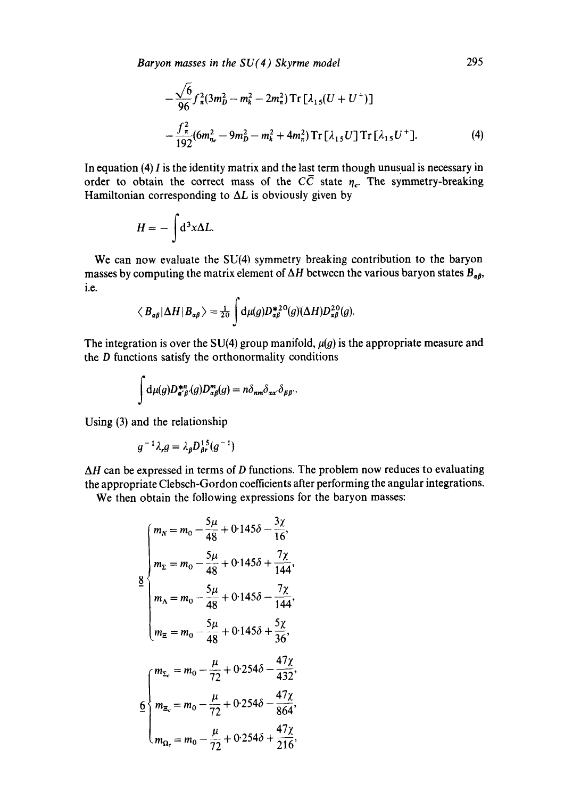*Baryon masses in the SU(4) Skyrme model* 

$$
-\frac{\sqrt{6}}{96} f_{\pi}^2 (3m_D^2 - m_k^2 - 2m_{\pi}^2) \operatorname{Tr} \left[ \lambda_{15} (U + U^+) \right]
$$
  
 
$$
-\frac{f_{\pi}^2}{192} (6m_{\eta_c}^2 - 9m_D^2 - m_k^2 + 4m_{\pi}^2) \operatorname{Tr} \left[ \lambda_{15} U \right] \operatorname{Tr} \left[ \lambda_{15} U^+ \right]. \tag{4}
$$

In equation *(4)* I is the identity matrix and the last term though unusual is necessary in order to obtain the correct mass of the  $C\overline{C}$  state  $\eta_c$ . The symmetry-breaking Hamiltonian corresponding to  $\Delta L$  is obviously given by

$$
H=-\int d^3x \Delta L.
$$

We can now evaluate the **SU(4)** symmetry breaking contribution to the baryon masses by computing the matrix element of  $\Delta H$  between the various baryon states  $B_{\alpha\beta}$ , i.e.

$$
\langle B_{\alpha\beta}|\Delta H|B_{\alpha\beta}\rangle=\frac{1}{20}\int d\mu(g)D_{\alpha\beta}^{*20}(g)(\Delta H)D_{\alpha\beta}^{20}(g).
$$

The integration is over the *SU(4)* group manifold,  $\mu(g)$  is the appropriate measure and the **D** functions satisfy the orthonormality conditions

$$
\int d\mu(g)D_{\alpha'\beta'}^{*n}(g)D_{\alpha\beta}^{m}(g)=n\delta_{nm}\delta_{\alpha\alpha'}\delta_{\beta\beta'}.
$$

Using *(3)* and the relationship

$$
g^{-1}\lambda_r g = \lambda_\beta D_{\beta r}^{15}(g^{-1})
$$

 $\Delta H$  can be expressed in terms of D functions. The problem now reduces to evaluating the appropriate Clebsch-Gordon coefficients after performing the angular integrations.

We then obtain the following expressions for the baryon masses:

$$
\begin{cases}\nm_x = m_0 - \frac{5\mu}{48} + 0.145\delta - \frac{3\chi}{16}, \\
m_z = m_0 - \frac{5\mu}{48} + 0.145\delta + \frac{7\chi}{144}, \\
m_A = m_0 - \frac{5\mu}{48} + 0.145\delta - \frac{7\chi}{144}, \\
m_{\Xi} = m_0 - \frac{5\mu}{48} + 0.145\delta + \frac{5\chi}{36}, \\
m_{\Xi_c} = m_0 - \frac{\mu}{72} + 0.254\delta - \frac{47\chi}{432}, \\
m_{\Xi_c} = m_0 - \frac{\mu}{72} + 0.254\delta - \frac{47\chi}{864}, \\
m_{\Omega_e} = m_0 - \frac{\mu}{72} + 0.254\delta + \frac{47\chi}{216},\n\end{cases}
$$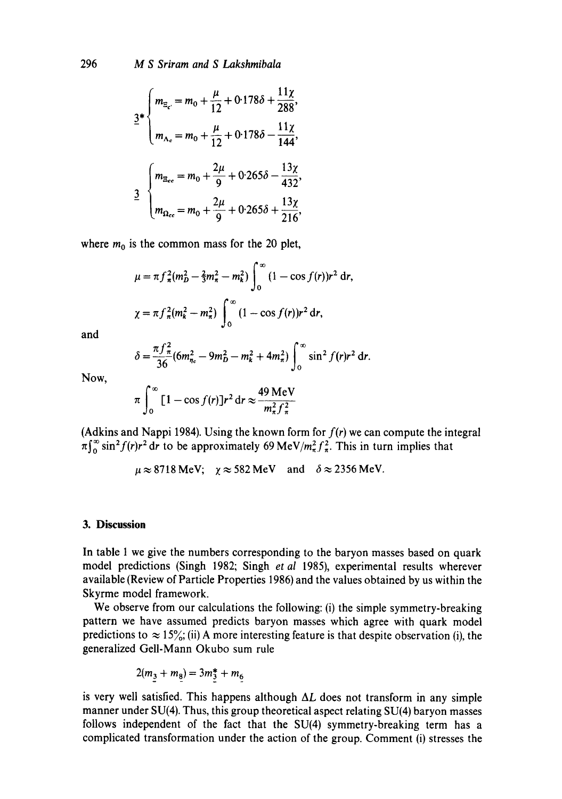296 *M S Sriram and S Lakshmibala* 

$$
2*\begin{cases} m_{\Xi_{c}} = m_0 + \frac{\mu}{12} + 0.178\delta + \frac{11\chi}{288}, \\ m_{\Lambda_c} = m_0 + \frac{\mu}{12} + 0.178\delta - \frac{11\chi}{144}, \end{cases}
$$
  

$$
\frac{3}{2}\begin{cases} m_{\Xi_{cc}} = m_0 + \frac{2\mu}{9} + 0.265\delta - \frac{13\chi}{432}, \\ m_{\Omega_{cc}} = m_0 + \frac{2\mu}{9} + 0.265\delta + \frac{13\chi}{216}, \end{cases}
$$

where  $m_0$  is the common mass for the 20 plet,

$$
\mu = \pi f_{\pi}^{2}(m_{D}^{2} - \frac{2}{3}m_{\pi}^{2} - m_{k}^{2}) \int_{0}^{\infty} (1 - \cos f(r)) r^{2} dr,
$$
  

$$
\chi = \pi f_{\pi}^{2}(m_{k}^{2} - m_{\pi}^{2}) \int_{0}^{\infty} (1 - \cos f(r)) r^{2} dr,
$$

and

$$
\delta = \frac{\pi f_{\pi}^2}{36} (6m_{\eta_c}^2 - 9m_D^2 - m_k^2 + 4m_{\pi}^2) \int_0^{\infty} \sin^2 f(r) r^2 dr.
$$

Now,

$$
\pi \int_0^\infty \left[1 - \cos f(r)\right] r^2 \, \mathrm{d}r \approx \frac{49 \, \mathrm{MeV}}{m_\pi^2 f_\pi^2}
$$

(Adkins and Nappi 1984). Using the known form for *f(r)* we can compute the integral  $\pi \int_0^\infty \sin^2 f(r) r^2 dr$  to be approximately 69 MeV/ $m_\pi^2 f_\pi^2$ . This in turn implies that

$$
\mu \approx 8718 \text{ MeV}; \quad \chi \approx 582 \text{ MeV} \quad \text{and} \quad \delta \approx 2356 \text{ MeV}.
$$

### **3. Discussion**

In table 1 we give the numbers corresponding to the baryon masses based on quark model predictions (Singh 1982; Singh *et al* 1985), experimental results wherever available (Review of Particle Properties 1986) and the values obtained by us within the Skyrme model framework.

We observe from our calculations the following: (i) the simple symmetry-breaking pattern we have assumed predicts baryon masses which agree with quark model predictions to  $\approx 15\%$ ; (ii) A more interesting feature is that despite observation (i), the generalized Gell-Mann Okubo sum rule

$$
2(m_3 + m_8) = 3m_3^* + m_6
$$

is very well satisfied. This happens although  $\Delta L$  does not transform in any simple manner under SU(4). Thus, this group theoretical aspect relating SU(4) baryon masses follows independent of the fact that the SU(4) symmetry-breaking term has a complicated transformation under the action of the group. Comment (i) stresses the